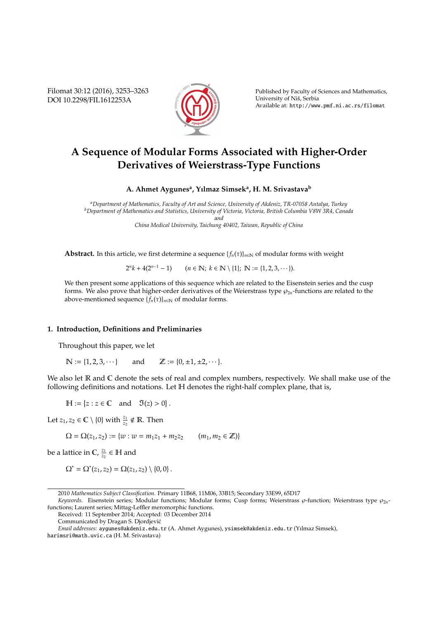Filomat 30:12 (2016), 3253–3263 DOI 10.2298/FIL1612253A



Published by Faculty of Sciences and Mathematics, University of Nis, Serbia ˇ Available at: http://www.pmf.ni.ac.rs/filomat

# **A Sequence of Modular Forms Associated with Higher-Order Derivatives of Weierstrass-Type Functions**

**A. Ahmet Aygunes<sup>a</sup> , Yılmaz Simsek<sup>a</sup> , H. M. Srivastava<sup>b</sup>**

*<sup>a</sup>Department of Mathematics, Faculty of Art and Science, University of Akdeniz, TR-07058 Antalya, Turkey <sup>b</sup>Department of Mathematics and Statistics, University of Victoria, Victoria, British Columbia V8W 3R4, Canada* a*nd*

*China Medical University, Taichung 40402, Taiwan, Republic of China*

**Abstract.** In this article, we first determine a sequence  ${f_n(\tau)}_{n\in\mathbb{N}}$  of modular forms with weight

 $2^{n}k + 4(2^{n-1} - 1)$  (*n* ∈ **N**; *k* ∈ **N** \ {1}; **N** := {1, 2, 3, · · · }).

We then present some applications of this sequence which are related to the Eisenstein series and the cusp forms. We also prove that higher-order derivatives of the Weierstrass type  $\wp_{2n}$ -functions are related to the above-mentioned sequence  ${f_n(\tau)}_{n \in \mathbb{N}}$  of modular forms.

### **1. Introduction, Definitions and Preliminaries**

Throughout this paper, we let

 $\mathbb{N} := \{1, 2, 3, \dots\}$  and  $\mathbb{Z} := \{0, \pm 1, \pm 2, \dots\}.$ 

We also let  $\mathbb R$  and  $\mathbb C$  denote the sets of real and complex numbers, respectively. We shall make use of the following definitions and notations. Let H denotes the right-half complex plane, that is,

 $\mathbb{H} := \{z : z \in \mathbb{C} \text{ and } \mathfrak{I}(z) > 0\}.$ 

Let  $z_1, z_2 \in \mathbb{C} \setminus \{0\}$  with  $\frac{z_1}{z_2} \notin \mathbb{R}$ . Then

 $\Omega = \Omega(z_1, z_2) := \{w : w = m_1 z_1 + m_2 z_2 \qquad (m_1, m_2 \in \mathbb{Z})\}$ 

be a lattice in  $\mathbb{C}$ ,  $\frac{z_1}{z_2}$  $\frac{z_1}{z_2} \in \mathbb{H}$  and

$$
\Omega^* = \Omega^*(z_1, z_2) = \Omega(z_1, z_2) \setminus \{0, 0\}.
$$

<sup>2010</sup> *Mathematics Subject Classification*. Primary 11B68, 11M06, 33B15; Secondary 33E99, 65D17

*Keywords*. Eisenstein series; Modular functions; Modular forms; Cusp forms; Weierstrass  $\wp$ -function; Weierstrass type  $\wp_{2n}$ functions; Laurent series; Mittag-Leffler meromorphic functions.

Received: 11 September 2014; Accepted: 03 December 2014

Communicated by Dragan S. Djordjevic´

*Email addresses:* aygunes@akdeniz.edu.tr (A. Ahmet Aygunes), ysimsek@akdeniz.edu.tr (Yılmaz Simsek),

harimsri@math.uvic.ca (H. M. Srivastava)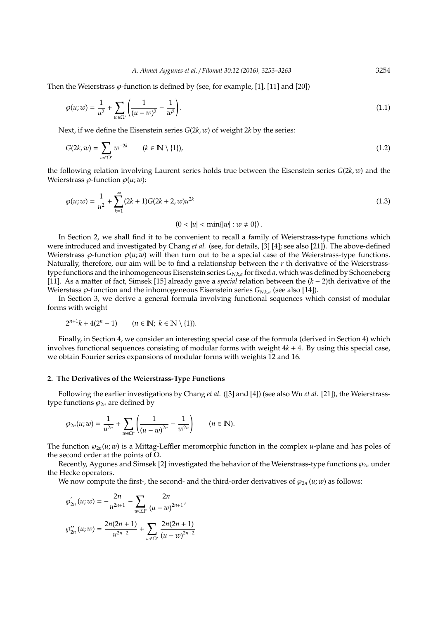Then the Weierstrass  $\varphi$ -function is defined by (see, for example, [1], [11] and [20])

$$
\wp(u; w) = \frac{1}{u^2} + \sum_{w \in \Omega^*} \left( \frac{1}{(u - w)^2} - \frac{1}{w^2} \right).
$$
\n(1.1)

Next, if we define the Eisenstein series *G*(2*k*, *w*) of weight 2*k* by the series:

$$
G(2k, w) = \sum_{w \in \Omega^*} w^{-2k} \qquad (k \in \mathbb{N} \setminus \{1\}),
$$
\n(1.2)

the following relation involving Laurent series holds true between the Eisenstein series *G*(2*k*, *w*) and the Weierstrass  $\varphi$ -function  $\varphi(u; w)$ :

$$
\wp(u; w) = \frac{1}{u^2} + \sum_{k=1}^{\infty} (2k+1)G(2k+2, w)u^{2k}
$$
\n(1.3)

 $(0 < |u| < \min\{|w| : w \neq 0\})$ .

In Section 2, we shall find it to be convenient to recall a family of Weierstrass-type functions which were introduced and investigated by Chang *et al.* (see, for details, [3] [4]; see also [21]). The above-defined Weierstrass  $\varphi$ -function  $\varphi(u; w)$  will then turn out to be a special case of the Weierstrass-type functions. Naturally, therefore, our aim will be to find a relationship between the *r* th derivative of the Weierstrasstype functions and the inhomogeneous Eisenstein series *GN*,*k*,*<sup>a</sup>* for fixed *a*, which was defined by Schoeneberg [11]. As a matter of fact, Simsek [15] already gave a *special* relation between the (*k* − 2)th derivative of the Weierstass ℘-function and the inhomogeneous Eisenstein series *GN*,*k*,*<sup>a</sup>* (see also [14]).

In Section 3, we derive a general formula involving functional sequences which consist of modular forms with weight

$$
2^{n+1}k + 4(2^n - 1) \qquad (n \in \mathbb{N}; \ k \in \mathbb{N} \setminus \{1\}).
$$

Finally, in Section 4, we consider an interesting special case of the formula (derived in Section 4) which involves functional sequences consisting of modular forms with weight 4*k* + 4. By using this special case, we obtain Fourier series expansions of modular forms with weights 12 and 16.

### **2. The Derivatives of the Weierstrass-Type Functions**

Following the earlier investigations by Chang *et al.* ([3] and [4]) (see also Wu *et al.* [21]), the Weierstrasstype functions  $\wp_{2n}$  are defined by

$$
\wp_{2n}(u; w) = \frac{1}{u^{2n}} + \sum_{w \in \Omega^*} \left( \frac{1}{(u - w)^{2n}} - \frac{1}{w^{2n}} \right) \qquad (n \in \mathbb{N}).
$$

The function  $\wp_{2n}(u; w)$  is a Mittag-Leffler meromorphic function in the complex *u*-plane and has poles of the second order at the points of  $Ω$ .

Recently, Aygunes and Simsek [2] investigated the behavior of the Weierstrass-type functions  $\wp_{2n}$  under the Hecke operators.

We now compute the first-, the second- and the third-order derivatives of  $\wp_{2n}(u; w)$  as follows:

$$
\varphi'_{2n}(u; w) = -\frac{2n}{u^{2n+1}} - \sum_{w \in \Omega^*} \frac{2n}{(u - w)^{2n+1}},
$$

$$
\varphi''_{2n}(u; w) = \frac{2n(2n + 1)}{u^{2n+2}} + \sum_{w \in \Omega^*} \frac{2n(2n + 1)}{(u - w)^{2n+2}}
$$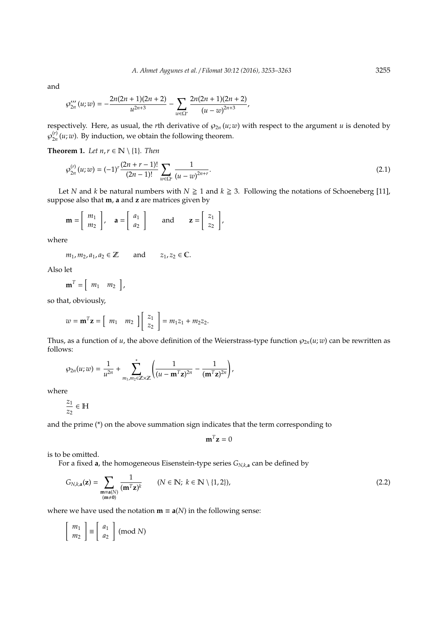and

$$
\wp_{2n}'''(u;w)=-\frac{2n(2n+1)(2n+2)}{u^{2n+3}}-\sum_{w\in\Omega^*}\frac{2n(2n+1)(2n+2)}{(u-w)^{2n+3}},
$$

respectively. Here, as usual, the *r*th derivative of  $\wp_{2n}(u; w)$  with respect to the argument *u* is denoted by  $\wp_{2n}^{(r)}$  $\frac{dV}{2n}(u; w)$ . By induction, we obtain the following theorem.

**Theorem 1.** *Let*  $n, r \in \mathbb{N} \setminus \{1\}$ *. Then* 

$$
\wp_{2n}^{(r)}(u;w) = (-1)^r \frac{(2n+r-1)!}{(2n-1)!} \sum_{w \in \Omega^*} \frac{1}{(u-w)^{2n+r}}.
$$
\n(2.1)

Let *N* and *k* be natural numbers with  $N \ge 1$  and  $k \ge 3$ . Following the notations of Schoeneberg [11], suppose also that **m**, **a** and **z** are matrices given by

$$
\mathbf{m} = \left[ \begin{array}{c} m_1 \\ m_2 \end{array} \right], \quad \mathbf{a} = \left[ \begin{array}{c} a_1 \\ a_2 \end{array} \right] \quad \text{and} \quad \mathbf{z} = \left[ \begin{array}{c} z_1 \\ z_2 \end{array} \right],
$$

where

$$
m_1, m_2, a_1, a_2 \in \mathbb{Z}
$$
 and  $z_1, z_2 \in \mathbb{C}$ .

Also let

$$
\mathbf{m}^T = \left[ \begin{array}{cc} m_1 & m_2 \end{array} \right],
$$

so that, obviously,

$$
w = \mathbf{m}^T \mathbf{z} = \begin{bmatrix} m_1 & m_2 \end{bmatrix} \begin{bmatrix} z_1 \\ z_2 \end{bmatrix} = m_1 z_1 + m_2 z_2.
$$

Thus, as a function of *u*, the above definition of the Weierstrass-type function  $\wp_{2n}(u; w)$  can be rewritten as follows:

$$
\wp_{2n}(u; w) = \frac{1}{u^{2n}} + \sum_{m_1, m_2 \in \mathbb{Z} \times \mathbb{Z}}^{*} \left( \frac{1}{(u - \mathbf{m}^{T} \mathbf{z})^{2n}} - \frac{1}{(\mathbf{m}^{T} \mathbf{z})^{2n}} \right),
$$

where

$$
\frac{z_1}{z_2}\in\mathbb{H}
$$

and the prime (\*) on the above summation sign indicates that the term corresponding to

$$
\mathbf{m}^T \mathbf{z} = 0
$$

is to be omitted.

For a fixed **a**, the homogeneous Eisenstein-type series *GN*,*k*,**<sup>a</sup>** can be defined by

$$
G_{N,k,\mathbf{a}}(\mathbf{z}) = \sum_{\substack{\mathbf{m} \equiv \mathbf{a}(N) \\ (\mathbf{m} \neq \mathbf{0})}} \frac{1}{(\mathbf{m}^T \mathbf{z})^k} \qquad (N \in \mathbb{N}; \ k \in \mathbb{N} \setminus \{1,2\}), \tag{2.2}
$$

where we have used the notation **m**  $\equiv a(N)$  in the following sense:

$$
\left[\begin{array}{c}m_1\\m_2\end{array}\right]\equiv\left[\begin{array}{c}a_1\\a_2\end{array}\right]\text{ (mod }N)
$$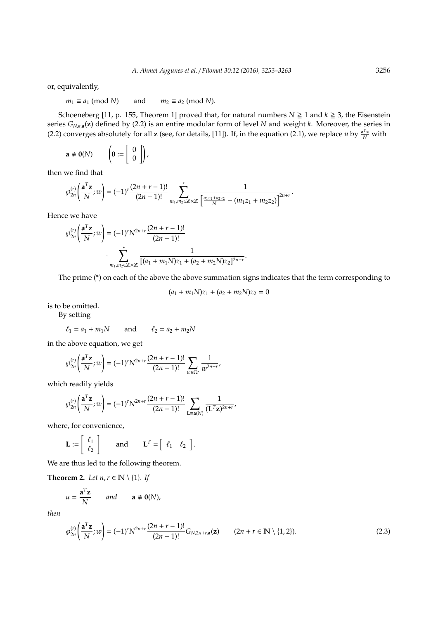or, equivalently,

 $m_1 \equiv a_1 \pmod{N}$  and  $m_2 \equiv a_2 \pmod{N}$ .

Schoeneberg [11, p. 155, Theorem 1] proved that, for natural numbers  $N \ge 1$  and  $k \ge 3$ , the Eisenstein series *GN*,*k*,**a**(**z**) defined by (2.2) is an entire modular form of level *N* and weight *k*. Moreover, the series in (2.2) converges absolutely for all **z** (see, for details, [11]). If, in the equation (2.1), we replace *u* by  $\frac{a^T z}{N}$  with

$$
\mathbf{a} \not\equiv \mathbf{0}(N) \qquad \left(\mathbf{0} := \left[\begin{array}{c} 0 \\ 0 \end{array}\right]\right),
$$

then we find that

$$
\wp_{2n}^{(r)}\left(\frac{\mathbf{a}^T\mathbf{z}}{N};w\right)=(-1)^r\frac{(2n+r-1)!}{(2n-1)!}\sum_{m_1,m_2\in\mathbb{Z}\times\mathbb{Z}}^{\infty}\frac{1}{\left[\frac{a_1z_1+a_2z_2}{N}-(m_1z_1+m_2z_2)\right]^{2n+r}}.
$$

Hence we have

$$
\wp_{2n}^{(r)}\left(\frac{\mathbf{a}^T\mathbf{z}}{N};w\right) = (-1)^r N^{2n+r} \frac{(2n+r-1)!}{(2n-1)!}
$$

$$
\cdot \sum_{m_1,m_2 \in \mathbb{Z} \times \mathbb{Z}} \frac{1}{[(a_1+m_1N)z_1 + (a_2+m_2N)z_2]^{2n+r}}.
$$

The prime (\*) on each of the above the above summation signs indicates that the term corresponding to

$$
(a_1 + m_1 N)z_1 + (a_2 + m_2 N)z_2 = 0
$$

is to be omitted.

By setting

$$
\ell_1 = a_1 + m_1 N \qquad \text{and} \qquad \ell_2 = a_2 + m_2 N
$$

in the above equation, we get

$$
\wp_{2n}^{(r)}\left(\frac{\mathbf{a}^T\mathbf{z}}{N};w\right)=(-1)^rN^{2n+r}\frac{(2n+r-1)!}{(2n-1)!}\sum_{w\in\Omega^*}\frac{1}{w^{2n+r}},
$$

which readily yields

$$
\wp_{2n}^{(r)}\left(\frac{\mathbf{a}^T\mathbf{z}}{N};w\right) = (-1)^r N^{2n+r} \frac{(2n+r-1)!}{(2n-1)!} \sum_{\mathbf{L} \equiv \mathbf{a}(N)} \frac{1}{(\mathbf{L}^T \mathbf{z})^{2n+r}},
$$

where, for convenience,

$$
\mathbf{L} := \left[ \begin{array}{c} \ell_1 \\ \ell_2 \end{array} \right] \quad \text{and} \quad \mathbf{L}^T = \left[ \begin{array}{cc} \ell_1 & \ell_2 \end{array} \right].
$$

We are thus led to the following theorem.

**Theorem 2.** *Let*  $n, r \in \mathbb{N} \setminus \{1\}$ *. If* 

$$
u = \frac{\mathbf{a}^T \mathbf{z}}{N} \quad \text{and} \quad \mathbf{a} \not\equiv \mathbf{0}(N),
$$

*then*

$$
\wp_{2n}^{(r)}\left(\frac{\mathbf{a}^T\mathbf{z}}{N};w\right) = (-1)^r N^{2n+r} \frac{(2n+r-1)!}{(2n-1)!} G_{N,2n+r,\mathbf{a}}(\mathbf{z}) \qquad (2n+r \in \mathbb{N} \setminus \{1,2\}).
$$
\n(2.3)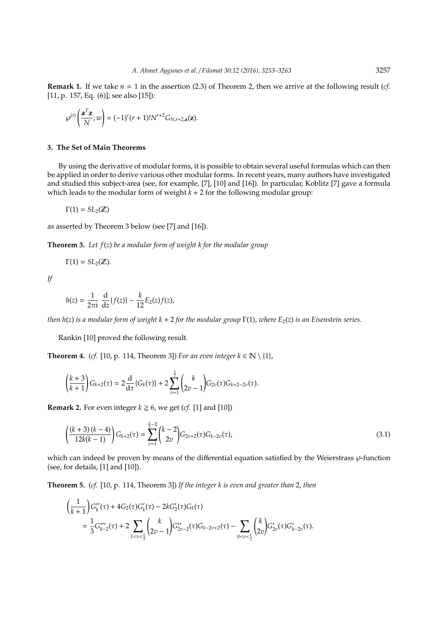**Remark 1.** If we take  $n = 1$  in the assertion (2.3) of Theorem 2, then we arrive at the following result (*cf.* [11, p. 157, Eq. (6)]; see also [15]):

$$
\wp^{(r)}\left(\frac{\mathbf{a}^T\mathbf{z}}{N};w\right)=(-1)^r(r+1)!N^{r+2}G_{N,r+2,\mathbf{a}}(\mathbf{z}).
$$

## **3. The Set of Main Theorems**

By using the derivative of modular forms, it is possible to obtain several useful formulas which can then be applied in order to derive various other modular forms. In recent years, many authors have investigated and studied this subject-area (see, for example, [7], [10] and [16]). In particular, Koblitz [7] gave a formula which leads to the modular form of weight  $k + 2$  for the following modular group:

 $\Gamma(1) = SL_2(\mathbb{Z})$ 

as asserted by Theorem 3 below (see [7] and [16]).

**Theorem 3.** *Let f*(*z*) *be a modular form of weight k for the modular group*

$$
\Gamma(1)=SL_2(\mathbb{Z}).
$$

*If*

$$
h(z) = \frac{1}{2\pi i} \frac{d}{dz} \{f(z)\} - \frac{k}{12} E_2(z) f(z),
$$

*then h*(*z*) *is a modular form of weight k* + 2 *for the modular group* Γ(1), *where E*2(*z*) *is an Eisenstein series.*

Rankin [10] proved the following result.

**Theorem 4.** (*cf.* [10, p. 114, Theorem 3]) *For an even integer*  $k \in \mathbb{N} \setminus \{1\}$ ,

$$
\left(\frac{k+3}{k+1}\right)G_{k+2}(\tau)=2\frac{\mathrm{d}}{\mathrm{d}\tau}\{G_k(\tau)\}+2\sum_{v=1}^{\frac{k}{2}}\binom{k}{2v-1}G_{2v}(\tau)G_{k+2-2v}(\tau).
$$

**Remark 2.** For even integer  $k \ge 6$ , we get (*cf.* [1] and [10])

$$
\left(\frac{(k+3)(k-4)}{12k(k-1)}\right)G_{k+2}(\tau) = \sum_{v=1}^{\frac{k}{2}-2} {k-2 \choose 2v} G_{2v+2}(\tau)G_{k-2v}(\tau),\tag{3.1}
$$

which can indeed be proven by means of the differential equation satisfied by the Weierstrass  $\wp$ -function (see, for details, [1] and [10]).

**Theorem 5.** (*cf.* [10, p. 114, Theorem 3]) *If the integer k is even and greater than* 2, *then*

$$
\left(\frac{1}{k+1}\right)G_{k}''(\tau) + 4G_{2}(\tau)G_{k}'(\tau) - 2kG_{2}'(\tau)G_{k}(\tau)
$$
\n
$$
= \frac{1}{3}G_{k-2}'''(\tau) + 2\sum_{1 < v < \frac{k}{2}}\binom{k}{2v-1}G_{2v-2}''(\tau)G_{k-2v+2}(\tau) - \sum_{0 < v < \frac{k}{2}}\binom{k}{2v}G_{2v}'(\tau)G_{k-2v}'(\tau).
$$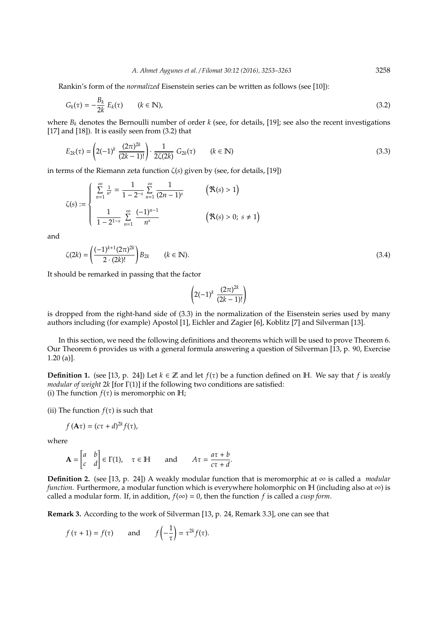Rankin's form of the *normalized* Eisenstein series can be written as follows (see [10]):

$$
G_k(\tau) = -\frac{B_k}{2k} E_k(\tau) \qquad (k \in \mathbb{N}), \tag{3.2}
$$

where  $B_k$  denotes the Bernoulli number of order  $k$  (see, for details, [19]; see also the recent investigations [17] and [18]). It is easily seen from (3.2) that

$$
E_{2k}(\tau) = \left(2(-1)^k \frac{(2\pi)^{2k}}{(2k-1)!}\right) \cdot \frac{1}{2\zeta(2k)} G_{2k}(\tau) \qquad (k \in \mathbb{N})
$$
\n(3.3)

in terms of the Riemann zeta function ζ(*s*) given by (see, for details, [19])

$$
\zeta(s) := \begin{cases}\n\sum_{n=1}^{\infty} \frac{1}{n^s} = \frac{1}{1 - 2^{-s}} \sum_{n=1}^{\infty} \frac{1}{(2n-1)^s} & \quad (\Re(s) > 1) \\
\frac{1}{1 - 2^{1-s}} \sum_{n=1}^{\infty} \frac{(-1)^{n-1}}{n^s} & \quad (\Re(s) > 0; s \neq 1)\n\end{cases}
$$

and

$$
\zeta(2k) = \left(\frac{(-1)^{k+1}(2\pi)^{2k}}{2 \cdot (2k)!}\right) B_{2k} \qquad (k \in \mathbb{N}).
$$
\n(3.4)

It should be remarked in passing that the factor

$$
\left(2(-1)^k \frac{(2\pi)^{2k}}{(2k-1)!}\right)
$$

is dropped from the right-hand side of (3.3) in the normalization of the Eisenstein series used by many authors including (for example) Apostol [1], Eichler and Zagier [6], Koblitz [7] and Silverman [13].

In this section, we need the following definitions and theorems which will be used to prove Theorem 6. Our Theorem 6 provides us with a general formula answering a question of Silverman [13, p. 90, Exercise 1.20 (a)].

**Definition 1.** (see [13, p. 24]) Let  $k \in \mathbb{Z}$  and let  $f(\tau)$  be a function defined on H. We say that  $f$  is *weakly modular of weight* 2*k* [for Γ(1)] if the following two conditions are satisfied: (i) The function  $f(\tau)$  is meromorphic on H;

(ii) The function  $f(\tau)$  is such that

$$
f(\mathbf{A}\tau)=(c\tau+d)^{2k}f(\tau),
$$

where

$$
\mathbf{A} = \begin{bmatrix} a & b \\ c & d \end{bmatrix} \in \Gamma(1), \quad \tau \in \mathbb{H} \quad \text{and} \quad A\tau = \frac{a\tau + b}{c\tau + d}.
$$

**Definition 2.** (see [13, p. 24]) A weakly modular function that is meromorphic at  $\infty$  is called a *modular function*. Furthermore, a modular function which is everywhere holomorphic on  $\mathbb H$  (including also at  $\infty$ ) is called a modular form. If, in addition,  $f(\infty) = 0$ , then the function f is called a *cusp form*.

**Remark 3.** According to the work of Silverman [13, p. 24, Remark 3.3], one can see that

$$
f(\tau + 1) = f(\tau)
$$
 and  $f\left(-\frac{1}{\tau}\right) = \tau^{2k} f(\tau)$ .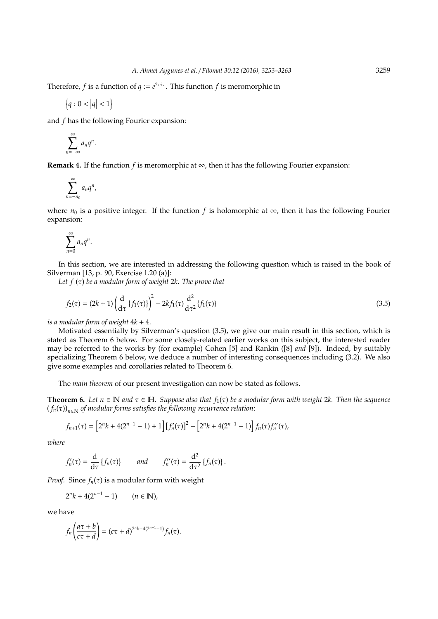Therefore, *f* is a function of  $q := e^{2\pi i \tau}$ . This function *f* is meromorphic in

$$
\left\{ q:0<\left|q\right|<1\right\}
$$

and *f* has the following Fourier expansion:

$$
\sum_{n=-\infty}^{\infty} a_n q^n.
$$

**Remark 4.** If the function *f* is meromorphic at  $\infty$ , then it has the following Fourier expansion:

$$
\sum_{n=-n_0}^{\infty} a_n q^n,
$$

where  $n_0$  is a positive integer. If the function *f* is holomorphic at  $\infty$ , then it has the following Fourier expansion:

$$
\sum_{n=0}^{\infty} a_n q^n.
$$

In this section, we are interested in addressing the following question which is raised in the book of Silverman [13, p. 90, Exercise 1.20 (a)]:

*Let f*1(τ) *be a modular form of weight* 2*k*. *The prove that*

$$
f_2(\tau) = (2k+1) \left( \frac{d}{d\tau} \left\{ f_1(\tau) \right\} \right)^2 - 2kf_1(\tau) \frac{d^2}{d\tau^2} \{ f_1(\tau) \}
$$
\n(3.5)

*is a modular form of weight*  $4k + 4$ .

Motivated essentially by Silverman's question (3.5), we give our main result in this section, which is stated as Theorem 6 below. For some closely-related earlier works on this subject, the interested reader may be referred to the works by (for example) Cohen [5] and Rankin ([8] *and* [9]). Indeed, by suitably specializing Theorem 6 below, we deduce a number of interesting consequences including (3.2). We also give some examples and corollaries related to Theorem 6.

The *main theorem* of our present investigation can now be stated as follows.

**Theorem 6.** Let  $n \in \mathbb{N}$  and  $\tau \in \mathbb{H}$ . Suppose also that  $f_1(\tau)$  be a modular form with weight 2k. Then the sequence  $\left(f_{n}(\tau)\right)_{n\in\mathbb{N}}$  of modular forms satisfies the following recurrence relation:

$$
f_{n+1}(\tau) = \left[2^{n}k + 4(2^{n-1} - 1) + 1\right]\left[f'_{n}(\tau)\right]^{2} - \left[2^{n}k + 4(2^{n-1} - 1)\right]f_{n}(\tau)f''_{n}(\tau),
$$

*where*

$$
f'_{n}(\tau)=\frac{\mathrm{d}}{\mathrm{d}\tau}\left\{f_{n}(\tau)\right\}\qquad and\qquad f''_{n}(\tau)=\frac{\mathrm{d}^{2}}{\mathrm{d}\tau^{2}}\left\{f_{n}(\tau)\right\}.
$$

*Proof.* Since  $f_n(\tau)$  is a modular form with weight

$$
2^{n}k + 4(2^{n-1} - 1) \qquad (n \in \mathbb{N}),
$$

we have

$$
f_n\left(\frac{a\tau+b}{c\tau+d}\right)=(c\tau+d)^{2^n k+4(2^{n-1}-1)}f_n(\tau).
$$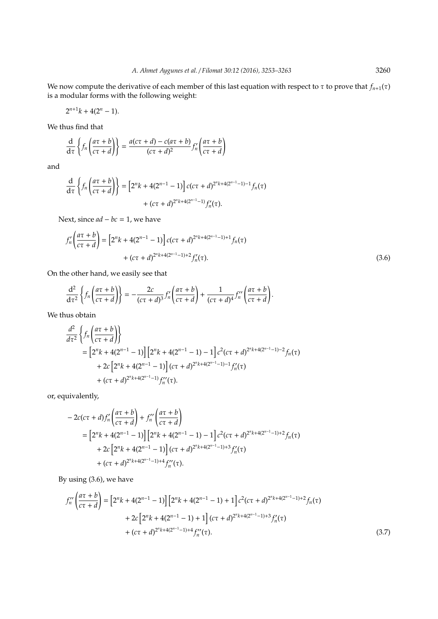We now compute the derivative of each member of this last equation with respect to  $\tau$  to prove that  $f_{n+1}(\tau)$ is a modular forms with the following weight:

 $2^{n+1}k + 4(2^n - 1).$ 

We thus find that

$$
\frac{d}{d\tau}\left\{f_n\left(\frac{a\tau+b}{c\tau+d}\right)\right\}=\frac{a(c\tau+d)-c(a\tau+b)}{(c\tau+d)^2}f'_n\left(\frac{a\tau+b}{c\tau+d}\right)
$$

and

$$
\frac{d}{d\tau} \left\{ f_n \left( \frac{a\tau + b}{c\tau + d} \right) \right\} = \left[ 2^n k + 4(2^{n-1} - 1) \right] c(c\tau + d)^{2^n k + 4(2^{n-1} - 1) - 1} f_n(\tau) + (c\tau + d)^{2^n k + 4(2^{n-1} - 1)} f'_n(\tau).
$$

Next, since *ad* − *bc* = 1, we have

$$
f'_{n}\left(\frac{a\tau+b}{c\tau+d}\right) = \left[2^{n}k + 4(2^{n-1}-1)\right]c(c\tau+d)^{2^{n}k+4(2^{n-1}-1)+1}f_{n}(\tau) + (c\tau+d)^{2^{n}k+4(2^{n-1}-1)+2}f'_{n}(\tau).
$$
\n(3.6)

On the other hand, we easily see that

$$
\frac{\mathrm{d}^2}{\mathrm{d}\tau^2}\left\{f_n\left(\frac{a\tau+b}{c\tau+d}\right)\right\}=-\frac{2c}{(c\tau+d)^3}f'_n\left(\frac{a\tau+b}{c\tau+d}\right)+\frac{1}{(c\tau+d)^4}f''_n\left(\frac{a\tau+b}{c\tau+d}\right).
$$

We thus obtain

$$
\frac{d^2}{d\tau^2} \left\{ f_n \left( \frac{a\tau + b}{c\tau + d} \right) \right\}
$$
\n
$$
= \left[ 2^n k + 4(2^{n-1} - 1) \right] \left[ 2^n k + 4(2^{n-1} - 1) - 1 \right] c^2 (c\tau + d)^{2^n k + 4(2^{n-1} - 1) - 2} f_n(\tau)
$$
\n
$$
+ 2c \left[ 2^n k + 4(2^{n-1} - 1) \right] (c\tau + d)^{2^n k + 4(2^{n-1} - 1) - 1} f'_n(\tau)
$$
\n
$$
+ (c\tau + d)^{2^n k + 4(2^{n-1} - 1)} f''_n(\tau).
$$

or, equivalently,

$$
-2c(c\tau+d)f''_n\left(\frac{a\tau+b}{c\tau+d}\right)+f''_n\left(\frac{a\tau+b}{c\tau+d}\right)
$$
  
= 
$$
\left[2^{n}k+4(2^{n-1}-1)\right]\left[2^{n}k+4(2^{n-1}-1)-1\right]c^2(c\tau+d)^{2^{n}k+4(2^{n-1}-1)+2}f_n(\tau)
$$
  
+ 
$$
2c\left[2^{n}k+4(2^{n-1}-1)\right](c\tau+d)^{2^{n}k+4(2^{n-1}-1)+3}f'_n(\tau)
$$
  
+ 
$$
(c\tau+d)^{2^{n}k+4(2^{n-1}-1)+4}f''_n(\tau).
$$

By using (3.6), we have

$$
f_n''\left(\frac{a\tau+b}{c\tau+d}\right) = \left[2^n k + 4(2^{n-1}-1)\right] \left[2^n k + 4(2^{n-1}-1) + 1\right] c^2 (c\tau+d)^{2^n k + 4(2^{n-1}-1)+2} f_n(\tau) + 2c \left[2^n k + 4(2^{n-1}-1) + 1\right] (c\tau+d)^{2^n k + 4(2^{n-1}-1)+3} f_n'(\tau) + (c\tau+d)^{2^n k + 4(2^{n-1}-1)+4} f_n''(\tau).
$$
\n(3.7)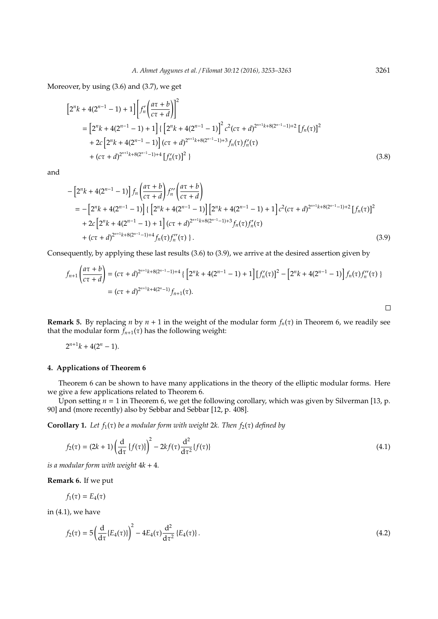Moreover, by using (3.6) and (3.7), we get

$$
[2^{n}k + 4(2^{n-1} - 1) + 1] \left[ f'_n \left( \frac{a\tau + b}{c\tau + d} \right) \right]^2
$$
  
= 
$$
[2^{n}k + 4(2^{n-1} - 1) + 1] \left\{ \left[ 2^{n}k + 4(2^{n-1} - 1) \right]^2 c^2 (c\tau + d)^{2^{n+1}k + 8(2^{n-1} - 1) + 2} \left[ f_n(\tau) \right]^2
$$
  
+ 
$$
2c \left[ 2^{n}k + 4(2^{n-1} - 1) \right] (c\tau + d)^{2^{n+1}k + 8(2^{n-1} - 1) + 3} f_n(\tau) f'_n(\tau)
$$
  
+ 
$$
(c\tau + d)^{2^{n+1}k + 8(2^{n-1} - 1) + 4} \left[ f'_n(\tau) \right]^2 \}
$$
(3.8)

and

$$
-\left[2^{n}k+4(2^{n-1}-1)\right]f_{n}\left(\frac{a\tau+b}{c\tau+d}\right)f_{n}''\left(\frac{a\tau+b}{c\tau+d}\right)
$$
\n
$$
=\left[2^{n}k+4(2^{n-1}-1)\right]\left\{\left[2^{n}k+4(2^{n-1}-1)\right]\left[2^{n}k+4(2^{n-1}-1)+1\right]c^{2}(c\tau+d)^{2^{n+1}k+8(2^{n-1}-1)+2}\left[f_{n}(\tau)\right]^{2}\right\}
$$
\n
$$
+2c\left[2^{n}k+4(2^{n-1}-1)+1\right](c\tau+d)^{2^{n+1}k+8(2^{n-1}-1)+3}f_{n}(\tau)f_{n}'(\tau)
$$
\n
$$
+(c\tau+d)^{2^{n+1}k+8(2^{n-1}-1)+4}f_{n}(\tau)f_{n}''(\tau)\right\}.
$$
\n(3.9)

Consequently, by applying these last results (3.6) to (3.9), we arrive at the desired assertion given by

$$
f_{n+1}\left(\frac{a\tau+b}{c\tau+d}\right) = (c\tau+d)^{2^{n+1}k+8(2^{n-1}-1)+4} \left\{ \left[2^{n}k+4(2^{n-1}-1)+1\right] \left[f'_n(\tau)\right]^2 - \left[2^{n}k+4(2^{n-1}-1)\right] f_n(\tau)f''_n(\tau) \right\}
$$
  
=  $(c\tau+d)^{2^{n+1}k+4(2^{n}-1)} f_{n+1}(\tau).$ 

**Remark 5.** By replacing *n* by  $n + 1$  in the weight of the modular form  $f_n(\tau)$  in Theorem 6, we readily see that the modular form  $f_{n+1}(\tau)$  has the following weight:

$$
2^{n+1}k + 4(2^n - 1).
$$

## **4. Applications of Theorem 6**

Theorem 6 can be shown to have many applications in the theory of the elliptic modular forms. Here we give a few applications related to Theorem 6.

Upon setting *n* = 1 in Theorem 6, we get the following corollary, which was given by Silverman [13, p. 90] and (more recently) also by Sebbar and Sebbar [12, p. 408].

**Corollary 1.** *Let*  $f_1(\tau)$  *be a modular form with weight* 2*k. Then*  $f_2(\tau)$  *defined by* 

$$
f_2(\tau) = (2k+1) \left( \frac{d}{d\tau} \left\{ f(\tau) \right\} \right)^2 - 2kf(\tau) \frac{d^2}{d\tau^2} \{ f(\tau) \}
$$
\n(4.1)

*is a modular form with weight* 4*k* + 4*.*

**Remark 6.** If we put

 $f_1(\tau) = E_4(\tau)$ 

in (4.1), we have

$$
f_2(\tau) = 5 \left( \frac{d}{d\tau} \{ E_4(\tau) \} \right)^2 - 4E_4(\tau) \frac{d^2}{d\tau^2} \{ E_4(\tau) \}.
$$
 (4.2)

 $\Box$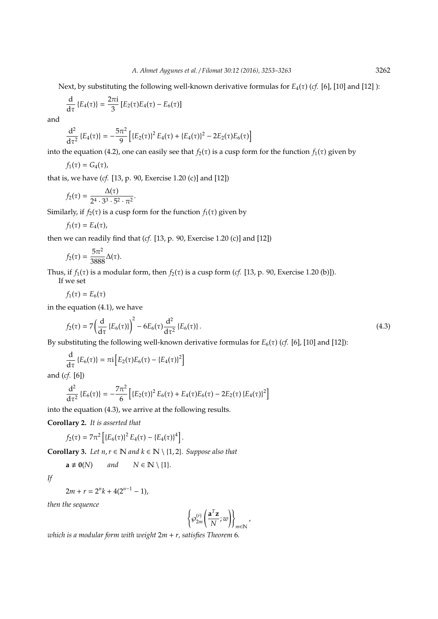Next, by substituting the following well-known derivative formulas for *E*4(τ) (*cf.* [6], [10] and [12] ):

$$
\frac{\mathrm{d}}{\mathrm{d}\tau}\left\{E_4(\tau)\right\}=\frac{2\pi i}{3}\left[E_2(\tau)E_4(\tau)-E_6(\tau)\right]
$$

and

$$
\frac{d^2}{d\tau^2} \left\{ E_4(\tau) \right\} = -\frac{5\pi^2}{9} \left[ \left\{ E_2(\tau) \right\}^2 E_4(\tau) + \left\{ E_4(\tau) \right\}^2 - 2E_2(\tau) E_6(\tau) \right]
$$

into the equation (4.2), one can easily see that  $f_2(\tau)$  is a cusp form for the function  $f_1(\tau)$  given by

$$
f_1(\tau)=G_4(\tau),
$$

that is, we have (*cf.* [13, p. 90, Exercise 1.20 (c)] and [12])

$$
f_2(\tau)=\frac{\Delta(\tau)}{2^4\cdot 3^3\cdot 5^2\cdot \pi^2}.
$$

Similarly, if  $f_2(\tau)$  is a cusp form for the function  $f_1(\tau)$  given by

$$
f_1(\tau)=E_4(\tau),
$$

then we can readily find that (*cf.* [13, p. 90, Exercise 1.20 (c)] and [12])

$$
f_2(\tau) = \frac{5\pi^2}{3888} \Delta(\tau).
$$

Thus, if  $f_1(\tau)$  is a modular form, then  $f_2(\tau)$  is a cusp form (*cf.* [13, p. 90, Exercise 1.20 (b)]).

If we set

$$
f_1(\tau)=E_6(\tau)
$$

in the equation (4.1), we have

$$
f_2(\tau) = 7 \left( \frac{d}{d\tau} \left\{ E_6(\tau) \right\} \right)^2 - 6E_6(\tau) \frac{d^2}{d\tau^2} \left\{ E_6(\tau) \right\}.
$$
 (4.3)

By substituting the following well-known derivative formulas for  $E_6(\tau)$  (*cf.* [6], [10] and [12]):

$$
\frac{\mathrm{d}}{\mathrm{d}\tau}\left\{E_6(\tau)\right\}=\pi i\left[E_2(\tau)E_6(\tau)-\left\{E_4(\tau)\right\}^2\right]
$$

and (*cf.* [6])

$$
\frac{d^2}{d\tau^2} \left\{ E_6(\tau) \right\} = -\frac{7\pi^2}{6} \left[ \left\{ E_2(\tau) \right\}^2 E_6(\tau) + E_4(\tau) E_6(\tau) - 2E_2(\tau) \left\{ E_4(\tau) \right\}^2 \right]
$$

into the equation (4.3), we arrive at the following results.

**Corollary 2.** *It is asserted that*

$$
f_2(\tau) = 7\pi^2 \left[ \{ E_6(\tau) \}^2 E_4(\tau) - \{ E_4(\tau) \}^4 \right].
$$

**Corollary 3.** *Let*  $n, r \in \mathbb{N}$  *and*  $k \in \mathbb{N} \setminus \{1, 2\}$ *. Suppose also that* 

$$
\mathbf{a} \neq \mathbf{0}(N) \qquad \text{and} \qquad N \in \mathbb{N} \setminus \{1\}.
$$

*If*

 $2m + r = 2^n k + 4(2^{n-1} - 1),$ 

*then the sequence*

$$
\left\{\varphi_{2m}^{(r)}\left(\frac{\mathbf{a}^T\mathbf{z}}{N};w\right)\right\}_{m\in\mathbb{N}}
$$

,

*which is a modular form with weight* 2*m* + *r, satisfies Theorem* 6*.*